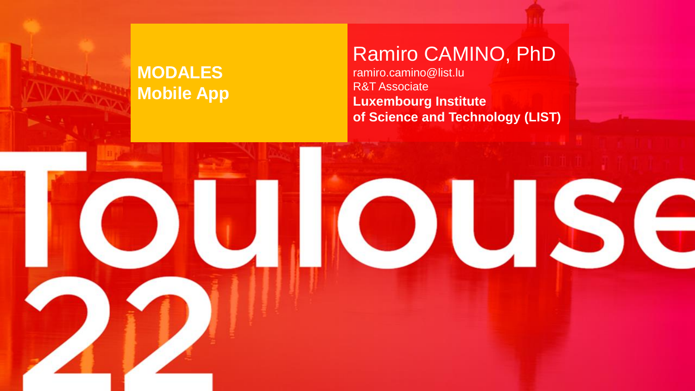#### **MODALES Mobile App**

### Ramiro CAMINO, PhD

ramiro.camino@list.lu R&T Associate **Luxembourg Institute of Science and Technology (LIST)**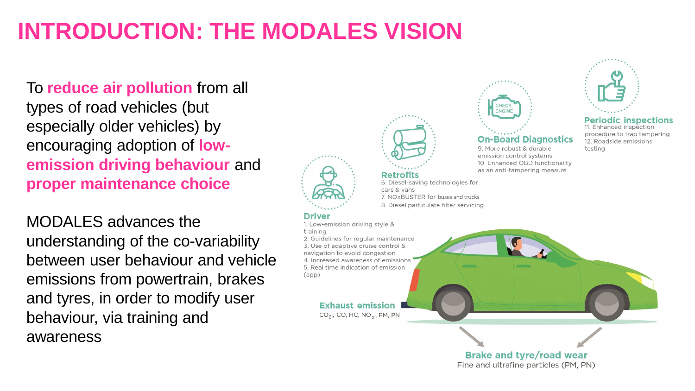# **INTRODUCTION: THE MODALES VISION**

#### To **reduce air pollution** from all types of road vehicles (but especially older vehicles) by encouraging adoption of **lowemission driving behaviour** and **proper maintenance choice**

MODALES advances the understanding of the co-variability between user behaviour and vehicle emissions from powertrain, brakes and tyres, in order to modify user behaviour, via training and awareness

# **Retrofits**

6. Diesel-saving technologies for cars & vans 7. NOXBUSTER for buses and trucks 8. Diesel particulate filter servicing

#### **Driver**

1. Low-emission driving style & training 2. Guidelines for regular maintenance 3. Use of adaptive cruise control & navigation to avoid congestion 4. Increased awareness of emissions 5. Real time indication of emission  $(app)$ 

#### **Exhaust emission**

 $CO<sub>2</sub>$ , CO, HC, NO<sub>x</sub>, PM, PN

# CHECK<br>ENGINE **On-Board Diagnostics** 9. More robust & durable

emission control systems 10. Enhanced OBD functionality as an anti-tampering measure



#### **Periodic inspections** 11. Enhanced inspection

procedure to trap tampering 12. Roadside emissions testing

#### **Brake and tyre/road wear** Fine and ultrafine particles (PM, PN)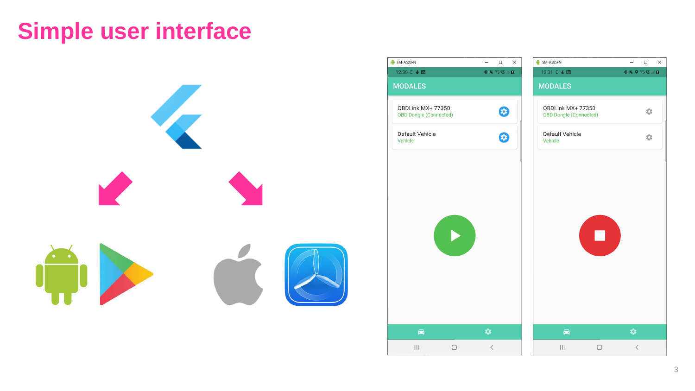# **Simple user interface**



| SM-A505FN                                          | $\hfill\square$<br>$\times$<br>$\qquad \qquad -$ | SM-A505FN                                         | $\Box$<br>$\times$<br>$\qquad \qquad -$                                                                                                                                                                                                                                                                                                                                                                                                                                                                    |
|----------------------------------------------------|--------------------------------------------------|---------------------------------------------------|------------------------------------------------------------------------------------------------------------------------------------------------------------------------------------------------------------------------------------------------------------------------------------------------------------------------------------------------------------------------------------------------------------------------------------------------------------------------------------------------------------|
| 12:30 日 4 団<br><b>MODALES</b>                      | <b>多くういしょ</b>                                    | 12:31 日 4 団<br><b>MODALES</b>                     | $\textcolor{red}{\textbf{1} \otimes \textbf{1} \otimes \textbf{1}} \textcolor{red}{\textbf{1} \otimes \textbf{1} \otimes \textbf{1}} \textcolor{red}{\textbf{1} \otimes \textbf{1} \otimes \textbf{1}} \textcolor{red}{\textbf{1} \otimes \textbf{1} \otimes \textbf{1}} \textcolor{red}{\textbf{1} \otimes \textbf{1}} \textcolor{red}{\textbf{1} \otimes \textbf{1}} \textcolor{red}{\textbf{1} \otimes \textbf{1}} \textcolor{red}{\textbf{1} \otimes \textbf{1}} \textcolor{red}{\textbf{1} \otimes \$ |
| OBDLink MX+ 77350<br><b>OBD Dongle (Connected)</b> | 0                                                | OBDLink MX+77350<br><b>OBD Dongle (Connected)</b> | ÷                                                                                                                                                                                                                                                                                                                                                                                                                                                                                                          |
| Default Vehicle<br>Vehicle                         | 0                                                | Default Vehicle<br>Vehicle                        | 森                                                                                                                                                                                                                                                                                                                                                                                                                                                                                                          |
|                                                    |                                                  |                                                   |                                                                                                                                                                                                                                                                                                                                                                                                                                                                                                            |
|                                                    |                                                  |                                                   |                                                                                                                                                                                                                                                                                                                                                                                                                                                                                                            |
|                                                    |                                                  |                                                   |                                                                                                                                                                                                                                                                                                                                                                                                                                                                                                            |
|                                                    |                                                  |                                                   |                                                                                                                                                                                                                                                                                                                                                                                                                                                                                                            |
|                                                    |                                                  |                                                   |                                                                                                                                                                                                                                                                                                                                                                                                                                                                                                            |
|                                                    |                                                  |                                                   |                                                                                                                                                                                                                                                                                                                                                                                                                                                                                                            |
|                                                    |                                                  |                                                   |                                                                                                                                                                                                                                                                                                                                                                                                                                                                                                            |
| $\blacksquare$                                     | ✿                                                | $\blacksquare$                                    | ✿                                                                                                                                                                                                                                                                                                                                                                                                                                                                                                          |

 $\Box$   $\quad$   $\times$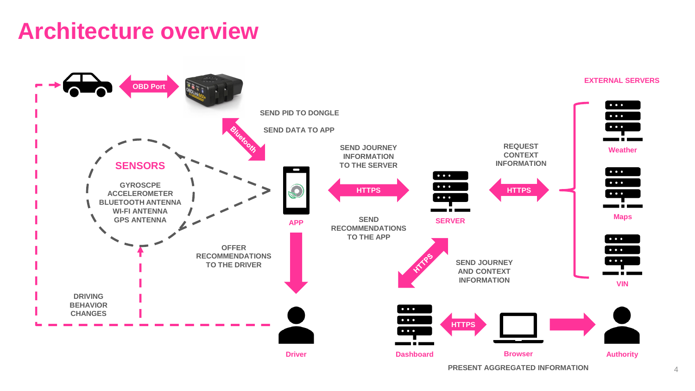# **Architecture overview**



**PRESENT AGGREGATED INFORMATION**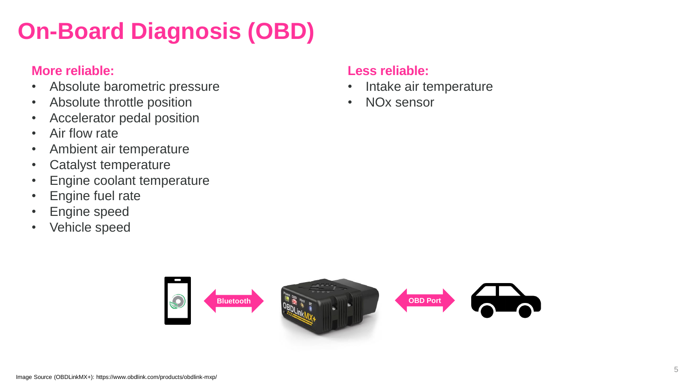# **On-Board Diagnosis (OBD)**

#### **More reliable:**

- Absolute barometric pressure
- Absolute throttle position
- Accelerator pedal position
- Air flow rate
- Ambient air temperature
- Catalyst temperature
- Engine coolant temperature
- Engine fuel rate
- Engine speed
- Vehicle speed

#### **Less reliable:**

- Intake air temperature
- NOx sensor

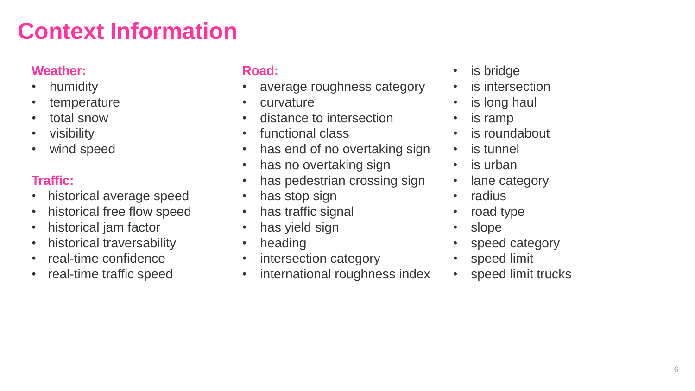# **Context Information**

#### **Weather:**

- humidity
- temperature
- total snow
- visibility
- wind speed

#### **Traffic:**

- historical average speed
- historical free flow speed
- historical jam factor
- historical traversability
- real-time confidence
- real-time traffic speed

#### **Road:**

- average roughness category
- curvature
- distance to intersection
- functional class
- has end of no overtaking sign
- has no overtaking sign
- has pedestrian crossing sign
- has stop sign
- has traffic signal
- has yield sign
- heading
- intersection category
- international roughness index
- is bridge
- is intersection
- is long haul
- is ramp
- is roundabout
- is tunnel
- is urban
- lane category
- radius
- road type
- slope
- speed category
- speed limit
- speed limit trucks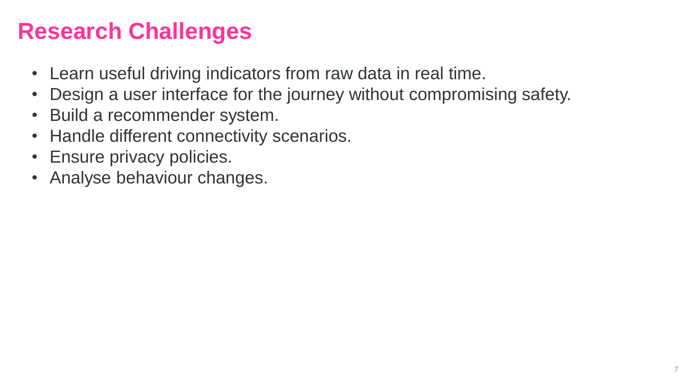# **Research Challenges**

- Learn useful driving indicators from raw data in real time.
- Design a user interface for the journey without compromising safety.
- Build a recommender system.
- Handle different connectivity scenarios.
- Ensure privacy policies.
- Analyse behaviour changes.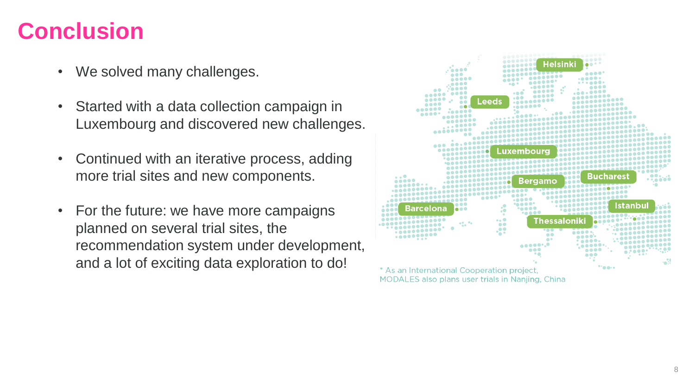# **Conclusion**

- We solved many challenges.
- Started with a data collection campaign in Luxembourg and discovered new challenges.
- Continued with an iterative process, adding more trial sites and new components.
- For the future: we have more campaigns planned on several trial sites, the recommendation system under development, and a lot of exciting data exploration to do!